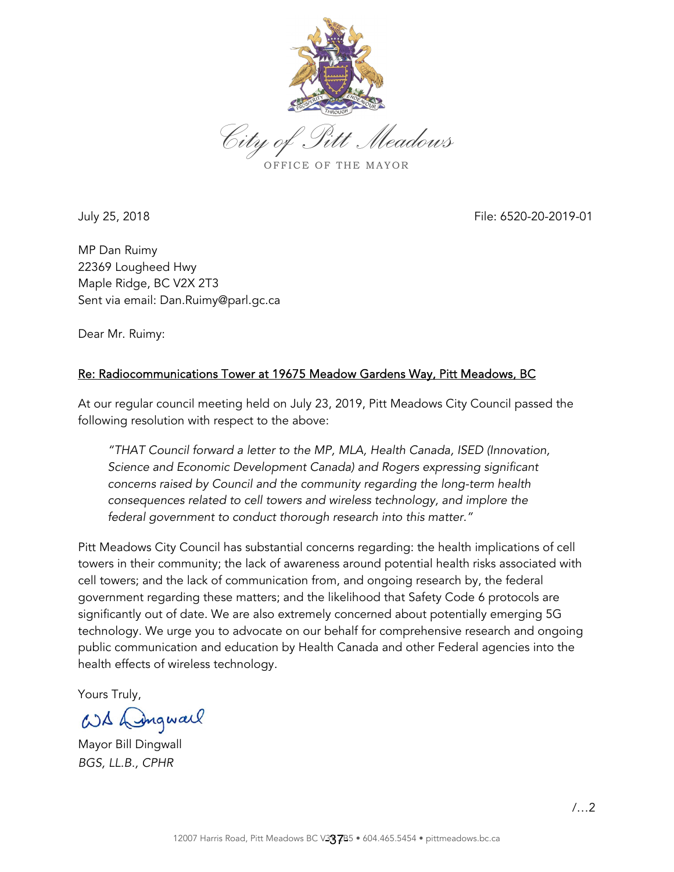

*City of Pitt Meadows* OFFICE OF THE MAYOR

July 25, 2018 File: 6520-20-2019-01

MP Dan Ruimy 22369 Lougheed Hwy Maple Ridge, BC V2X 2T3 Sent via email: Dan.Ruimy@parl.gc.ca

Dear Mr. Ruimy:

## Re: Radiocommunications Tower at 19675 Meadow Gardens Way, Pitt Meadows, BC

At our regular council meeting held on July 23, 2019, Pitt Meadows City Council passed the following resolution with respect to the above:

*"THAT Council forward a letter to the MP, MLA, Health Canada, ISED (Innovation, Science and Economic Development Canada) and Rogers expressing significant concerns raised by Council and the community regarding the long-term health consequences related to cell towers and wireless technology, and implore the federal government to conduct thorough research into this matter."* 

Pitt Meadows City Council has substantial concerns regarding: the health implications of cell towers in their community; the lack of awareness around potential health risks associated with cell towers; and the lack of communication from, and ongoing research by, the federal government regarding these matters; and the likelihood that Safety Code 6 protocols are significantly out of date. We are also extremely concerned about potentially emerging 5G technology. We urge you to advocate on our behalf for comprehensive research and ongoing public communication and education by Health Canada and other Federal agencies into the health effects of wireless technology.

Yours Truly,

WX Dingwall

Mayor Bill Dingwall *BGS, LL.B., CPHR*

/…2